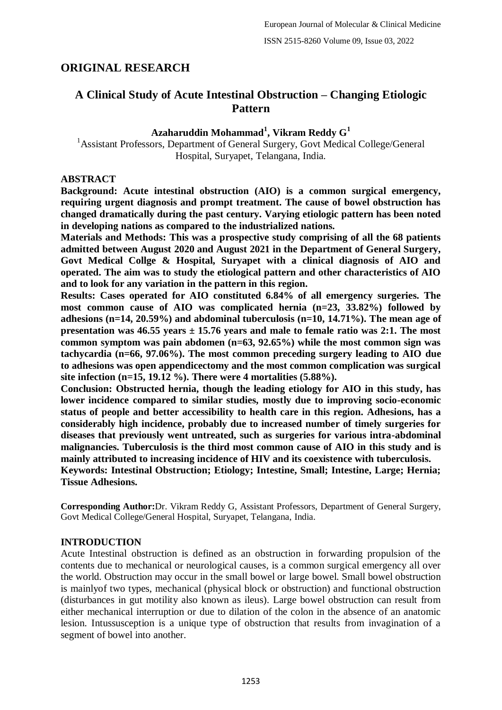# **ORIGINAL RESEARCH**

# **A Clinical Study of Acute Intestinal Obstruction – Changing Etiologic Pattern**

# **Azaharuddin Mohammad<sup>1</sup> , Vikram Reddy G<sup>1</sup>**

<sup>1</sup> Assistant Professors, Department of General Surgery, Govt Medical College/General Hospital, Suryapet, Telangana, India.

### **ABSTRACT**

**Background: Acute intestinal obstruction (AIO) is a common surgical emergency, requiring urgent diagnosis and prompt treatment. The cause of bowel obstruction has changed dramatically during the past century. Varying etiologic pattern has been noted in developing nations as compared to the industrialized nations.**

**Materials and Methods: This was a prospective study comprising of all the 68 patients admitted between August 2020 and August 2021 in the Department of General Surgery, Govt Medical Collge & Hospital, Suryapet with a clinical diagnosis of AIO and operated. The aim was to study the etiological pattern and other characteristics of AIO and to look for any variation in the pattern in this region.**

**Results: Cases operated for AIO constituted 6.84% of all emergency surgeries. The most common cause of AIO was complicated hernia (n=23, 33.82%) followed by adhesions (n=14, 20.59%) and abdominal tuberculosis (n=10, 14.71%). The mean age of presentation was 46.55 years ± 15.76 years and male to female ratio was 2:1. The most common symptom was pain abdomen (n=63, 92.65%) while the most common sign was tachycardia (n=66, 97.06%). The most common preceding surgery leading to AIO due to adhesions was open appendicectomy and the most common complication was surgical site infection (n=15, 19.12 %). There were 4 mortalities (5.88%).**

**Conclusion: Obstructed hernia, though the leading etiology for AIO in this study, has lower incidence compared to similar studies, mostly due to improving socio-economic status of people and better accessibility to health care in this region. Adhesions, has a considerably high incidence, probably due to increased number of timely surgeries for diseases that previously went untreated, such as surgeries for various intra-abdominal malignancies. Tuberculosis is the third most common cause of AIO in this study and is mainly attributed to increasing incidence of HIV and its coexistence with tuberculosis. Keywords: Intestinal Obstruction; Etiology; Intestine, Small; Intestine, Large; Hernia;** 

**Tissue Adhesions.**

**Corresponding Author:**Dr. Vikram Reddy G, Assistant Professors, Department of General Surgery, Govt Medical College/General Hospital, Suryapet, Telangana, India.

# **INTRODUCTION**

Acute Intestinal obstruction is defined as an obstruction in forwarding propulsion of the contents due to mechanical or neurological causes, is a common surgical emergency all over the world. Obstruction may occur in the small bowel or large bowel. Small bowel obstruction is mainlyof two types, mechanical (physical block or obstruction) and functional obstruction (disturbances in gut motility also known as ileus). Large bowel obstruction can result from either mechanical interruption or due to dilation of the colon in the absence of an anatomic lesion. Intussusception is a unique type of obstruction that results from invagination of a segment of bowel into another.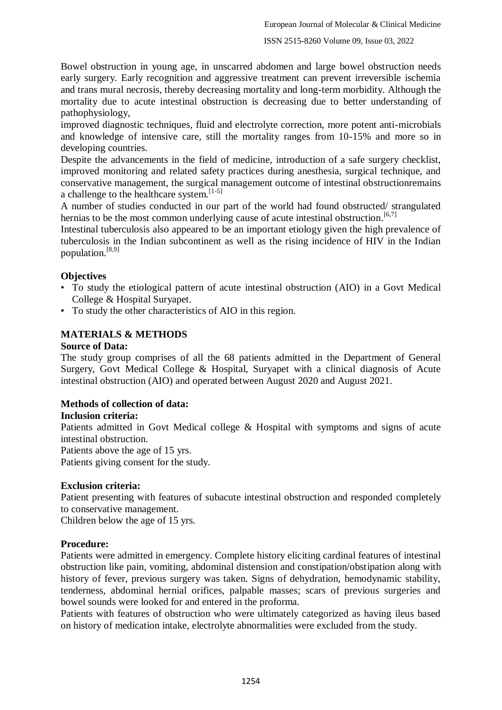Bowel obstruction in young age, in unscarred abdomen and large bowel obstruction needs early surgery. Early recognition and aggressive treatment can prevent irreversible ischemia and trans mural necrosis, thereby decreasing mortality and long-term morbidity. Although the mortality due to acute intestinal obstruction is decreasing due to better understanding of pathophysiology,

improved diagnostic techniques, fluid and electrolyte correction, more potent anti-microbials and knowledge of intensive care, still the mortality ranges from 10-15% and more so in developing countries.

Despite the advancements in the field of medicine, introduction of a safe surgery checklist, improved monitoring and related safety practices during anesthesia, surgical technique, and conservative management, the surgical management outcome of intestinal obstructionremains a challenge to the healthcare system.  $\left[1-5\right]$ 

A number of studies conducted in our part of the world had found obstructed/ strangulated hernias to be the most common underlying cause of acute intestinal obstruction.<sup>[6,7]</sup>

Intestinal tuberculosis also appeared to be an important etiology given the high prevalence of tuberculosis in the Indian subcontinent as well as the rising incidence of HIV in the Indian population.[8,9]

### **Objectives**

- To study the etiological pattern of acute intestinal obstruction (AIO) in a Govt Medical College & Hospital Suryapet.
- To study the other characteristics of AIO in this region.

# **MATERIALS & METHODS**

### **Source of Data:**

The study group comprises of all the 68 patients admitted in the Department of General Surgery, Govt Medical College & Hospital, Suryapet with a clinical diagnosis of Acute intestinal obstruction (AIO) and operated between August 2020 and August 2021.

### **Methods of collection of data:**

### **Inclusion criteria:**

Patients admitted in Govt Medical college & Hospital with symptoms and signs of acute intestinal obstruction.

Patients above the age of 15 yrs.

Patients giving consent for the study.

### **Exclusion criteria:**

Patient presenting with features of subacute intestinal obstruction and responded completely to conservative management.

Children below the age of 15 yrs.

### **Procedure:**

Patients were admitted in emergency. Complete history eliciting cardinal features of intestinal obstruction like pain, vomiting, abdominal distension and constipation/obstipation along with history of fever, previous surgery was taken. Signs of dehydration, hemodynamic stability, tenderness, abdominal hernial orifices, palpable masses; scars of previous surgeries and bowel sounds were looked for and entered in the proforma.

Patients with features of obstruction who were ultimately categorized as having ileus based on history of medication intake, electrolyte abnormalities were excluded from the study.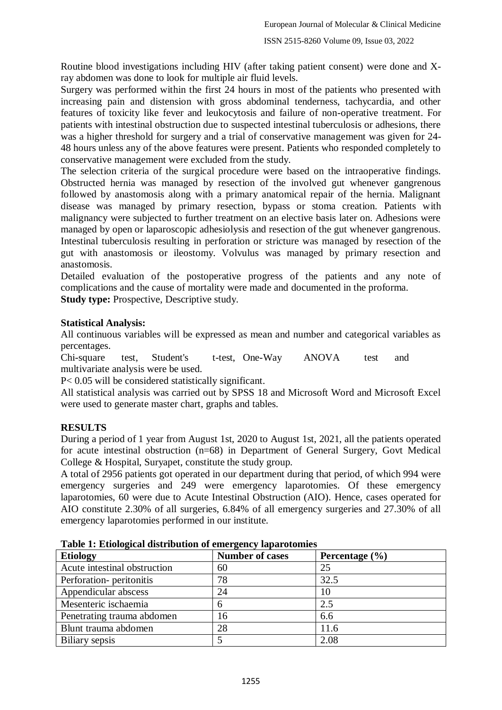Routine blood investigations including HIV (after taking patient consent) were done and Xray abdomen was done to look for multiple air fluid levels.

Surgery was performed within the first 24 hours in most of the patients who presented with increasing pain and distension with gross abdominal tenderness, tachycardia, and other features of toxicity like fever and leukocytosis and failure of non-operative treatment. For patients with intestinal obstruction due to suspected intestinal tuberculosis or adhesions, there was a higher threshold for surgery and a trial of conservative management was given for 24- 48 hours unless any of the above features were present. Patients who responded completely to conservative management were excluded from the study.

The selection criteria of the surgical procedure were based on the intraoperative findings. Obstructed hernia was managed by resection of the involved gut whenever gangrenous followed by anastomosis along with a primary anatomical repair of the hernia. Malignant disease was managed by primary resection, bypass or stoma creation. Patients with malignancy were subjected to further treatment on an elective basis later on. Adhesions were managed by open or laparoscopic adhesiolysis and resection of the gut whenever gangrenous. Intestinal tuberculosis resulting in perforation or stricture was managed by resection of the gut with anastomosis or ileostomy. Volvulus was managed by primary resection and anastomosis.

Detailed evaluation of the postoperative progress of the patients and any note of complications and the cause of mortality were made and documented in the proforma.

**Study type:** Prospective, Descriptive study.

### **Statistical Analysis:**

All continuous variables will be expressed as mean and number and categorical variables as percentages.

Chi-square test, Student's t-test, One-Way ANOVA test and multivariate analysis were be used.

P< 0.05 will be considered statistically significant.

All statistical analysis was carried out by SPSS 18 and Microsoft Word and Microsoft Excel were used to generate master chart, graphs and tables.

# **RESULTS**

During a period of 1 year from August 1st, 2020 to August 1st, 2021, all the patients operated for acute intestinal obstruction (n=68) in Department of General Surgery, Govt Medical College & Hospital, Suryapet, constitute the study group.

A total of 2956 patients got operated in our department during that period, of which 994 were emergency surgeries and 249 were emergency laparotomies. Of these emergency laparotomies, 60 were due to Acute Intestinal Obstruction (AIO). Hence, cases operated for AIO constitute 2.30% of all surgeries, 6.84% of all emergency surgeries and 27.30% of all emergency laparotomies performed in our institute.

| <b>Etiology</b>              | <b>Number of cases</b> | Percentage $(\% )$ |
|------------------------------|------------------------|--------------------|
| Acute intestinal obstruction | 60                     | 25                 |
| Perforation-peritonitis      | 78                     | 32.5               |
| Appendicular abscess         | 24                     | 10                 |
| Mesenteric ischaemia         |                        | 2.5                |
| Penetrating trauma abdomen   | 16                     | 6.6                |
| Blunt trauma abdomen         | 28                     | 11.6               |
| Biliary sepsis               |                        | 2.08               |

**Table 1: Etiological distribution of emergency laparotomies**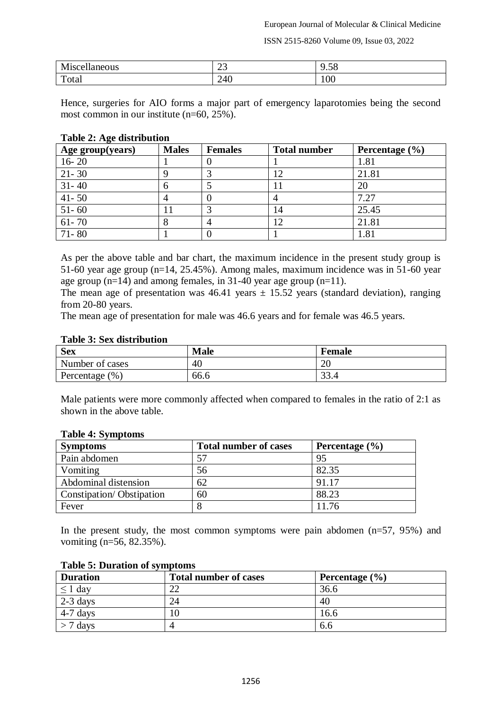ISSN 2515-8260 Volume 09, Issue 03, 2022

| -49<br>$- - -$<br>в.<br>$\sim$ 330<br>յսչ<br>. | $\overline{\phantom{m}}$ | $\epsilon$<br>9.JO |
|------------------------------------------------|--------------------------|--------------------|
| $\mathbf{r}$<br>Total                          | $\Delta f$<br>$2 - 10$   | 100                |

Hence, surgeries for AIO forms a major part of emergency laparotomies being the second most common in our institute (n=60, 25%).

#### **Table 2: Age distribution**

| Age group(years) | <b>Males</b> | <b>Females</b> | <b>Total number</b> | Percentage $(\% )$ |
|------------------|--------------|----------------|---------------------|--------------------|
| $16 - 20$        |              |                |                     | 1.81               |
| $21 - 30$        |              |                |                     | 21.81              |
| $31 - 40$        |              |                | 11                  | 20                 |
| $41 - 50$        |              |                |                     | 7.27               |
| $51 - 60$        |              |                | 14                  | 25.45              |
| $61 - 70$        |              |                | 12                  | 21.81              |
| $71 - 80$        |              |                |                     | 1.81               |

As per the above table and bar chart, the maximum incidence in the present study group is 51-60 year age group (n=14, 25.45%). Among males, maximum incidence was in 51-60 year age group (n=14) and among females, in 31-40 year age group (n=11).

The mean age of presentation was  $46.41$  years  $\pm 15.52$  years (standard deviation), ranging from 20-80 years.

The mean age of presentation for male was 46.6 years and for female was 46.5 years.

### **Table 3: Sex distribution**

| <b>Sex</b>         | <b>Male</b> | <b>Female</b> |
|--------------------|-------------|---------------|
| Number of cases    | 40          | ററ<br>∠∪      |
| Percentage $(\% )$ | 66.6        | $\cap$        |

Male patients were more commonly affected when compared to females in the ratio of 2:1 as shown in the above table.

| <b>Symptoms</b>          | <b>Total number of cases</b> | Percentage $(\% )$ |
|--------------------------|------------------------------|--------------------|
| Pain abdomen             | 57                           | 95                 |
| Vomiting                 | 56                           | 82.35              |
| Abdominal distension     | 62                           | 91.17              |
| Constipation/Obstipation | 60                           | 88.23              |
| Fever                    |                              | 11.76              |

#### **Table 4: Symptoms**

In the present study, the most common symptoms were pain abdomen  $(n=57, 95%)$  and vomiting (n=56, 82.35%).

| <b>Duration</b> | <b>Total number of cases</b> | Percentage $(\% )$ |
|-----------------|------------------------------|--------------------|
| $\geq 1$ dav    | ົ                            | 36.6               |
| $2-3$ days      | 24                           | 40                 |
| $4-7$ days      | l0                           | 16.6               |
| 7 days          |                              | 0.0                |

#### **Table 5: Duration of symptoms**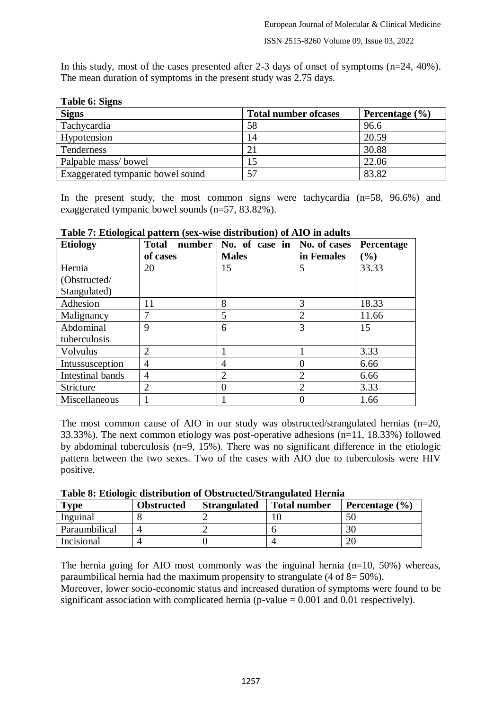In this study, most of the cases presented after 2-3 days of onset of symptoms (n=24, 40%). The mean duration of symptoms in the present study was 2.75 days.

| <b>Signs</b>                     | <b>Total number of cases</b> | Percentage $(\% )$ |
|----------------------------------|------------------------------|--------------------|
| Tachycardia                      | 58                           | 96.6               |
| Hypotension                      | 14                           | 20.59              |
| Tenderness                       |                              | 30.88              |
| Palpable mass/bowel              |                              | 22.06              |
| Exaggerated tympanic bowel sound |                              | 83.82              |

# **Table 6: Signs**

In the present study, the most common signs were tachycardia (n=58, 96.6%) and exaggerated tympanic bowel sounds (n=57, 83.82%).

| <b>Etiology</b>         | <b>Total</b><br>number | No. of case in | No. of cases   | Percentage |
|-------------------------|------------------------|----------------|----------------|------------|
|                         | of cases               | <b>Males</b>   | in Females     | (%)        |
| Hernia                  | 20                     | 15             | 5              | 33.33      |
| (Obstructed/            |                        |                |                |            |
| Stangulated)            |                        |                |                |            |
| Adhesion                | 11                     | 8              | 3              | 18.33      |
| Malignancy              | 7                      | 5              | $\overline{2}$ | 11.66      |
| Abdominal               | 9                      | 6              | 3              | 15         |
| tuberculosis            |                        |                |                |            |
| <b>Volvulus</b>         | $\overline{2}$         |                |                | 3.33       |
| Intussusception         | 4                      | $\overline{A}$ | $\Omega$       | 6.66       |
| <b>Intestinal bands</b> | 4                      | $\overline{2}$ | $\overline{2}$ | 6.66       |
| Stricture               | $\overline{2}$         | $\theta$       | $\overline{2}$ | 3.33       |
| Miscellaneous           |                        |                |                | 1.66       |

**Table 7: Etiological pattern (sex-wise distribution) of AIO in adults**

The most common cause of AIO in our study was obstructed/strangulated hernias (n=20, 33.33%). The next common etiology was post-operative adhesions (n=11, 18.33%) followed by abdominal tuberculosis ( $n=9$ , 15%). There was no significant difference in the etiologic pattern between the two sexes. Two of the cases with AIO due to tuberculosis were HIV positive.

|  |  | Table 8: Etiologic distribution of Obstructed/Strangulated Hernia |  |
|--|--|-------------------------------------------------------------------|--|
|  |  |                                                                   |  |
|  |  |                                                                   |  |
|  |  |                                                                   |  |

| $T$ <sub>V</sub> $pe$ | <b>Obstructed</b> | <b>Strangulated</b> | <b>Total number</b> | Percentage $(\% )$ |
|-----------------------|-------------------|---------------------|---------------------|--------------------|
| Inguinal              |                   |                     |                     |                    |
| Paraumbilical         |                   |                     |                     | 30                 |
| Incisional            |                   |                     |                     |                    |

The hernia going for AIO most commonly was the inguinal hernia (n=10, 50%) whereas, paraumbilical hernia had the maximum propensity to strangulate  $(4 \text{ of } 8 = 50\%)$ .

Moreover, lower socio-economic status and increased duration of symptoms were found to be significant association with complicated hernia ( $p$ -value = 0.001 and 0.01 respectively).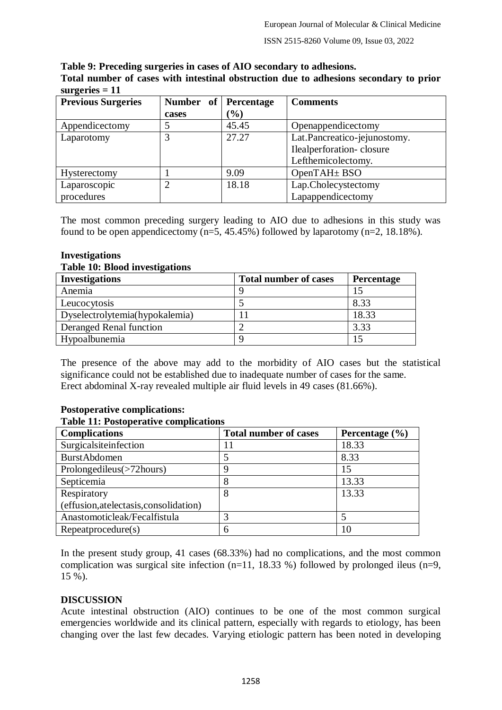ISSN 2515-8260 Volume 09, Issue 03, 2022

#### **Table 9: Preceding surgeries in cases of AIO secondary to adhesions. Total number of cases with intestinal obstruction due to adhesions secondary to prior**

| surgeries $= 11$          |                     |            |                              |
|---------------------------|---------------------|------------|------------------------------|
| <b>Previous Surgeries</b> | <b>Number</b><br>of | Percentage | <b>Comments</b>              |
|                           | cases               | $(\%)$     |                              |
| Appendicectomy            |                     | 45.45      | Openappendicectomy           |
| Laparotomy                |                     | 27.27      | Lat.Pancreatico-jejunostomy. |
|                           |                     |            | Ilealperforation-closure     |
|                           |                     |            | Lefthemicolectomy.           |
| Hysterectomy              |                     | 9.09       | OpenTAH $\pm$ BSO            |
| Laparoscopic              | າ                   | 18.18      | Lap.Cholecystectomy          |
| procedures                |                     |            | Lapappendicectomy            |

The most common preceding surgery leading to AIO due to adhesions in this study was found to be open appendicectomy  $(n=5, 45.45%)$  followed by laparotomy  $(n=2, 18.18%)$ .

# **Investigations**

### **Table 10: Blood investigations**

| <b>Investigations</b>          | <b>Total number of cases</b> | <b>Percentage</b> |
|--------------------------------|------------------------------|-------------------|
| Anemia                         |                              |                   |
| Leucocytosis                   |                              | 8.33              |
| Dyselectrolytemia(hypokalemia) |                              | 18.33             |
| Deranged Renal function        |                              | 3.33              |
| Hypoalbunemia                  |                              |                   |

The presence of the above may add to the morbidity of AIO cases but the statistical significance could not be established due to inadequate number of cases for the same. Erect abdominal X-ray revealed multiple air fluid levels in 49 cases (81.66%).

# **Postoperative complications:**

### **Table 11: Postoperative complications**

| <b>Complications</b>                    | <b>Total number of cases</b> | Percentage $(\% )$ |
|-----------------------------------------|------------------------------|--------------------|
| Surgicalsite<br>infection               |                              | 18.33              |
| <b>BurstAbdomen</b>                     |                              | 8.33               |
| Prolongedileus(>72hours)                | 9                            | 15                 |
| Septicemia                              | 8                            | 13.33              |
| Respiratory                             | 8                            | 13.33              |
| (effusion, at electasis, consolidation) |                              |                    |
| Anastomoticleak/Fecalfistula            | 3                            |                    |
| Repeatprocedure(s)                      | 6                            | 10                 |

In the present study group, 41 cases (68.33%) had no complications, and the most common complication was surgical site infection  $(n=11, 18.33%)$  followed by prolonged ileus  $(n=9, 10)$ 15 %).

# **DISCUSSION**

Acute intestinal obstruction (AIO) continues to be one of the most common surgical emergencies worldwide and its clinical pattern, especially with regards to etiology, has been changing over the last few decades. Varying etiologic pattern has been noted in developing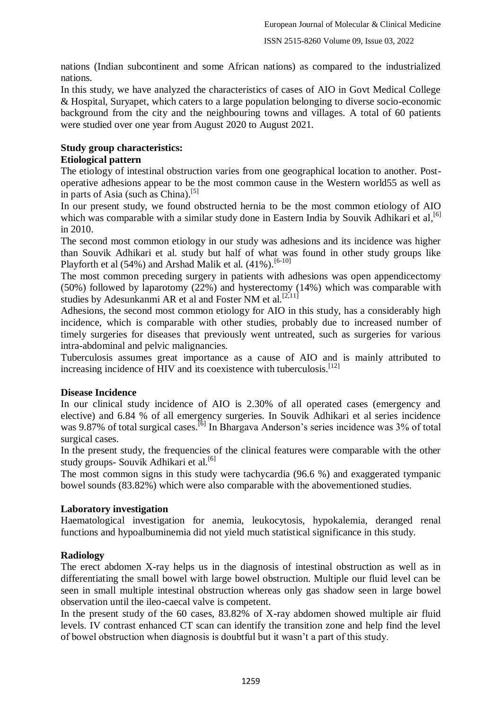nations (Indian subcontinent and some African nations) as compared to the industrialized nations.

In this study, we have analyzed the characteristics of cases of AIO in Govt Medical College & Hospital, Suryapet, which caters to a large population belonging to diverse socio-economic background from the city and the neighbouring towns and villages. A total of 60 patients were studied over one year from August 2020 to August 2021.

# **Study group characteristics:**

# **Etiological pattern**

The etiology of intestinal obstruction varies from one geographical location to another. Postoperative adhesions appear to be the most common cause in the Western world55 as well as in parts of Asia (such as China).<sup>[5]</sup>

In our present study, we found obstructed hernia to be the most common etiology of AIO which was comparable with a similar study done in Eastern India by Souvik Adhikari et al, <a>[6]</a> in 2010.

The second most common etiology in our study was adhesions and its incidence was higher than Souvik Adhikari et al. study but half of what was found in other study groups like Playforth et al  $(54\%)$  and Arshad Malik et al.  $(41\%)$ .<sup>[6-10]</sup>

The most common preceding surgery in patients with adhesions was open appendicectomy (50%) followed by laparotomy (22%) and hysterectomy (14%) which was comparable with studies by Adesunkanmi AR et al and Foster NM et al.<sup>[2,11]</sup>

Adhesions, the second most common etiology for AIO in this study, has a considerably high incidence, which is comparable with other studies, probably due to increased number of timely surgeries for diseases that previously went untreated, such as surgeries for various intra-abdominal and pelvic malignancies.

Tuberculosis assumes great importance as a cause of AIO and is mainly attributed to increasing incidence of HIV and its coexistence with tuberculosis.<sup>[12]</sup>

# **Disease Incidence**

In our clinical study incidence of AIO is 2.30% of all operated cases (emergency and elective) and 6.84 % of all emergency surgeries. In Souvik Adhikari et al series incidence was 9.87% of total surgical cases.<sup>[6]</sup> In Bhargava Anderson's series incidence was 3% of total surgical cases.

In the present study, the frequencies of the clinical features were comparable with the other study groups- Souvik Adhikari et al.<sup>[6]</sup>

The most common signs in this study were tachycardia (96.6 %) and exaggerated tympanic bowel sounds (83.82%) which were also comparable with the abovementioned studies.

# **Laboratory investigation**

Haematological investigation for anemia, leukocytosis, hypokalemia, deranged renal functions and hypoalbuminemia did not yield much statistical significance in this study.

# **Radiology**

The erect abdomen X-ray helps us in the diagnosis of intestinal obstruction as well as in differentiating the small bowel with large bowel obstruction. Multiple our fluid level can be seen in small multiple intestinal obstruction whereas only gas shadow seen in large bowel observation until the ileo-caecal valve is competent.

In the present study of the 60 cases, 83.82% of X-ray abdomen showed multiple air fluid levels. IV contrast enhanced CT scan can identify the transition zone and help find the level of bowel obstruction when diagnosis is doubtful but it wasn"t a part of this study.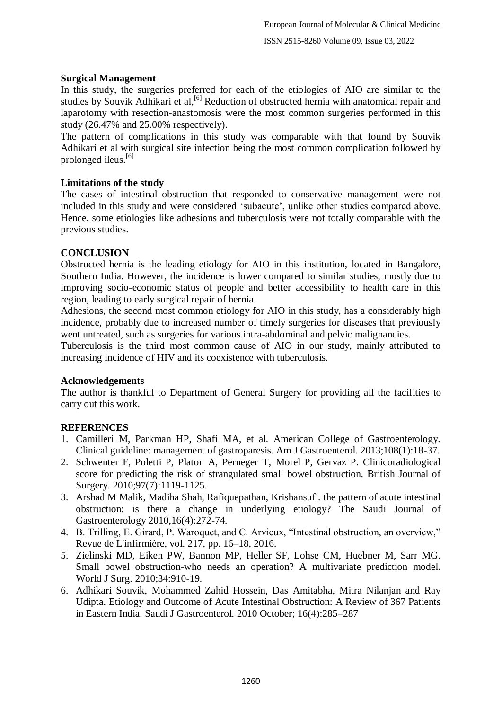## **Surgical Management**

In this study, the surgeries preferred for each of the etiologies of AIO are similar to the studies by Souvik Adhikari et al,<sup>[6]</sup> Reduction of obstructed hernia with anatomical repair and laparotomy with resection-anastomosis were the most common surgeries performed in this study (26.47% and 25.00% respectively).

The pattern of complications in this study was comparable with that found by Souvik Adhikari et al with surgical site infection being the most common complication followed by prolonged ileus. $[6]$ 

### **Limitations of the study**

The cases of intestinal obstruction that responded to conservative management were not included in this study and were considered "subacute", unlike other studies compared above. Hence, some etiologies like adhesions and tuberculosis were not totally comparable with the previous studies.

### **CONCLUSION**

Obstructed hernia is the leading etiology for AIO in this institution, located in Bangalore, Southern India. However, the incidence is lower compared to similar studies, mostly due to improving socio-economic status of people and better accessibility to health care in this region, leading to early surgical repair of hernia.

Adhesions, the second most common etiology for AIO in this study, has a considerably high incidence, probably due to increased number of timely surgeries for diseases that previously went untreated, such as surgeries for various intra-abdominal and pelvic malignancies.

Tuberculosis is the third most common cause of AIO in our study, mainly attributed to increasing incidence of HIV and its coexistence with tuberculosis.

### **Acknowledgements**

The author is thankful to Department of General Surgery for providing all the facilities to carry out this work.

# **REFERENCES**

- 1. Camilleri M, Parkman HP, Shafi MA, et al. American College of Gastroenterology. Clinical guideline: management of gastroparesis. Am J Gastroenterol. 2013;108(1):18-37.
- 2. Schwenter F, Poletti P, Platon A, Perneger T, Morel P, Gervaz P. Clinicoradiological score for predicting the risk of strangulated small bowel obstruction. British Journal of Surgery. 2010;97(7):1119-1125.
- 3. Arshad M Malik, Madiha Shah, Rafiquepathan, Krishansufi. the pattern of acute intestinal obstruction: is there a change in underlying etiology? The Saudi Journal of Gastroenterology 2010,16(4):272-74.
- 4. B. Trilling, E. Girard, P. Waroquet, and C. Arvieux, "Intestinal obstruction, an overview," Revue de L'infirmière, vol. 217, pp. 16–18, 2016.
- 5. Zielinski MD, Eiken PW, Bannon MP, Heller SF, Lohse CM, Huebner M, Sarr MG. Small bowel obstruction-who needs an operation? A multivariate prediction model. World J Surg. 2010;34:910-19.
- 6. Adhikari Souvik, Mohammed Zahid Hossein, Das Amitabha, Mitra Nilanjan and Ray Udipta. Etiology and Outcome of Acute Intestinal Obstruction: A Review of 367 Patients in Eastern India. Saudi J Gastroenterol. 2010 October; 16(4):285–287